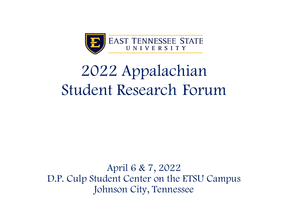

# 2022 Appalachian Student Research Forum

April 6 & 7, 2022 D.P. Culp Student Center on the ETSU Campus Johnson City, Tennessee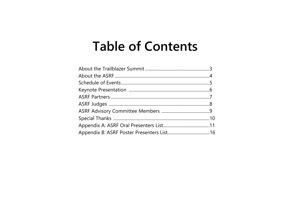# **Table of Contents**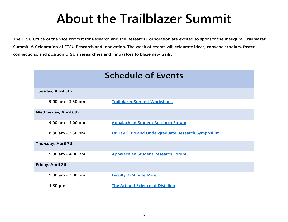# **About the Trailblazer Summit**

<span id="page-2-0"></span>**The ETSU Office of the Vice Provost for Research and the Research Corporation are excited to sponsor the inaugural Trailblazer Summit: A Celebration of ETSU Research and Innovation. The week of events will celebrate ideas, convene scholars, foster connections, and position ETSU's researchers and innovators to blaze new trails.**

| <b>Schedule of Events</b>   |                                                    |  |
|-----------------------------|----------------------------------------------------|--|
| Tuesday, April 5th          |                                                    |  |
| $9:00$ am - 3:30 pm         | <b>Trailblazer Summit Workshops</b>                |  |
| <b>Wednesday, April 6th</b> |                                                    |  |
| $9:00$ am - 4:00 pm         | <b>Appalachian Student Research Forum</b>          |  |
| $8:30$ am - 2:30 pm         | Dr. Jay S. Boland Undergraduate Research Symposium |  |
| Thursday, April 7th         |                                                    |  |
| $9:00$ am - 4:00 pm         | <b>Appalachian Student Research Forum</b>          |  |
| Friday, April 8th           |                                                    |  |
| $9:00$ am - 2:00 pm         | <b>Faculty 3-Minute Mixer</b>                      |  |
| $4:30$ pm                   | <b>The Art and Science of Distilling</b>           |  |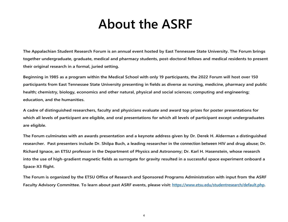# **About the ASRF**

<span id="page-3-0"></span>**The Appalachian Student Research Forum is an annual event hosted by East Tennessee State University. The Forum brings together undergraduate, graduate, medical and pharmacy students, post-doctoral fellows and medical residents to present their original research in a formal, juried setting.**

**Beginning in 1985 as a program within the Medical School with only 19 participants, the 2022 Forum will host over 150 participants from East Tennessee State University presenting in fields as diverse as nursing, medicine, pharmacy and public health; chemistry, biology, economics and other natural, physical and social sciences; computing and engineering; education, and the humanities.**

**A cadre of distinguished researchers, faculty and physicians evaluate and award top prizes for poster presentations for which all levels of participant are eligible, and oral presentations for which all levels of participant except undergraduates are eligible.**

**The Forum culminates with an awards presentation and a keynote address given by Dr. Derek H. Alderman a distinguished researcher. Past presenters include Dr. Shilpa Buch, a leading researcher in the connection between HIV and drug abuse; Dr. Richard Ignace, an ETSU professor in the Department of Physics and Astronomy; Dr. Karl H. Hasenstein, whose research into the use of high-gradient magnetic fields as surrogate for gravity resulted in a successful space experiment onboard a Space-X3 flight.** 

**The Forum is organized by the ETSU Office of Research and Sponsored Programs Administration with input from the ASRF Faculty Advisory Committee. To learn about past ASRF events, please visit: [https://www.etsu.edu/studentresearch/default.php.](https://www.etsu.edu/studentresearch/default.php)** 

4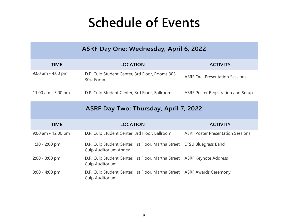# **Schedule of Events**

<span id="page-4-0"></span>

| ASRF Day One: Wednesday, April 6, 2022 |                                                                                                        |                                           |  |
|----------------------------------------|--------------------------------------------------------------------------------------------------------|-------------------------------------------|--|
| <b>TIME</b>                            | <b>LOCATION</b>                                                                                        | <b>ACTIVITY</b>                           |  |
| $9:00$ am - $4:00$ pm                  | D.P. Culp Student Center, 3rd Floor, Rooms 303,<br>304, Forum                                          | <b>ASRF Oral Presentation Sessions</b>    |  |
| 11:00 am - 3:00 pm                     | D.P. Culp Student Center, 3rd Floor, Ballroom                                                          | <b>ASRF Poster Registration and Setup</b> |  |
| ASRF Day Two: Thursday, April 7, 2022  |                                                                                                        |                                           |  |
| <b>TIME</b>                            | <b>LOCATION</b>                                                                                        | <b>ACTIVITY</b>                           |  |
| $9:00$ am - 12:00 pm                   | D.P. Culp Student Center, 3rd Floor, Ballroom                                                          | <b>ASRF Poster Presentation Sessions</b>  |  |
| $1:30 - 2:00$ pm                       | D.P. Culp Student Center, 1st Floor, Martha Street ETSU Bluegrass Band<br><b>Culp Auditorium Annex</b> |                                           |  |
| $2:00 - 3:00$ pm                       | D.P. Culp Student Center, 1st Floor, Martha Street ASRF Keynote Address<br>Culp Auditorium             |                                           |  |
| $3:00 - 4:00$ pm                       | D.P. Culp Student Center, 1st Floor, Martha Street ASRF Awards Ceremony<br>Culp Auditorium             |                                           |  |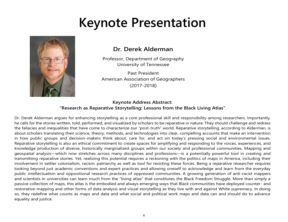# **Keynote Presentation**

<span id="page-5-0"></span>

# **Dr. Derek Alderman**

Professor, Department of Geography University of Tennessee

Past President American Association of Geographers (2017-2018)

# **Keynote Address Abstract: "Research as Reparative Storytelling: Lessons from the Black Living Atlas"**

Dr. Derek Alderman argues for enhancing storytelling as a core professional skill and responsibility among researchers. Importantly, he calls for the stories written, told, performed, and visualized by scholars to be reparative in nature. They should challenge and redress the fallacies and inequalities that have come to characterize our "post-truth" world. Reparative storytelling, according to Alderman, is about scholars translating their science, theory, methods, and technologies into clear, compelling accounts that make an intervention in how public groups and decision-makers think about, care for, and act on today's pressing social and environmental issues. Reparative storytelling is also an ethical commitment to create spaces for amplifying and responding to the voices, experiences, and knowledge production of diverse, historically marginalized groups within our society and professional communities. Mapping and geospatial analysis—which now stretches across many disciplines and professions—is a potentially powerful tool in creating and transmitting reparative stories. Yet, realizing this potential requires a reckoning with the politics of maps in America, including their involvement in settler colonialism, racism, patriarchy as well as tool for resisting these forces. Being a reparative researcher requires looking beyond just academic conventions and expert practices and allowing oneself to acknowledge and learn from the everyday public intellectualism and oppositional research practices of oppressed communities. A growing generation of anti-racist mappers and scientists in universities can learn much from the "living atlas" that constitutes the Black Freedom Struggle. More than simply a passive collection of maps, this atlas is the embodied and always emerging ways that Black communities have deployed counter- and restorative-mapping and other forms of data analysis and visual storytelling as they live with and against White supremacy. In doing so, they redefine what counts as maps and data and what social and political work maps and data can and should do to advance equality and justice.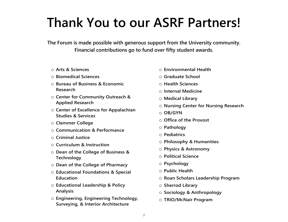# <span id="page-6-0"></span>**Thank You to our ASRF Partners!**

**The Forum is made possible with generous support from the University community. Financial contributions go to fund over fifty student awards.**

- o **Arts & Sciences**
- o **Biomedical Sciences**
- o **Bureau of Business & Economic Research**
- o **Center for Community Outreach & Applied Research**
- o **Center of Excellence for Appalachian Studies & Services**
- o **Clemmer College**
- o **Communication & Performance**
- o **Criminal Justice**
- o **Curriculum & Instruction**
- o **Dean of the College of Business & Technology**
- o **Dean of the College of Pharmacy**
- o **Educational Foundations & Special Education**
- o **Educational Leadership & Policy Analysis**
- o **Engineering, Engineering Technology, Surveying, & Interior Architecture**
- o **Environmental Health**
- o **Graduate School**
- o **Health Sciences**
- o **Internal Medicine**
- o **Medical Library**
- o **Nursing Center for Nursing Research**
- o **OB/GYN**
- o **Office of the Provost**
- o **Pathology**
- o **Pediatrics**
- o **Philosophy & Humanities**
- o **Physics & Astronomy**
- o **Political Science**
- o **Psychology**
- o **Public Health**
- o **Roan Scholars Leadership Program**
- o **Sherrod Library**
- o **Sociology & Anthropology**
- o **TRIO/McNair Program**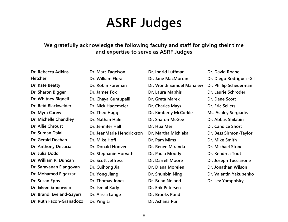# **ASRF Judges**

<span id="page-7-0"></span>**We gratefully acknowledge the following faculty and staff for giving their time and expertise to serve as ASRF Judges**

| Dr. Rebecca Adkins        | Dr. Marc Fagelson         | Dr. Ingrid Luffman       | Dr. David Roane         |
|---------------------------|---------------------------|--------------------------|-------------------------|
| Fletcher                  | Dr. William Flora         | Dr. Jane MacMorran       | Dr. Diego Rodriguez-Gil |
| Dr. Kate Beatty           | Dr. Robin Foreman         | Dr. Wondi Samuel Manalew | Dr. Phillip Scheuerman  |
| Dr. Sharon Bigger         | Dr. James Fox             | Dr. Laura Maphis         | Dr. Laurie Schroder     |
| Dr. Whitney Bignell       | Dr. Chaya Guntupalli      | Dr. Greta Marek          | Dr. Dane Scott          |
| Dr. Reid Blackwelder      | Dr. Nick Hagemeier        | Dr. Charles Mays         | Dr. Eric Sellers        |
| Dr. Myra Carew            | Dr. Theo Hagg             | Dr. Kimberly McCorkle    | Ms. Ashley Sergiadis    |
| Dr. Michelle Chandley     | Dr. Nathan Hale           | Dr. Sharon McGee         | Dr. Abbas Shilabin      |
| Dr. Allie Chroust         | Dr. Jennifer Hall         | Dr. Hua Mei              | Dr. Candice Short       |
| Dr. Suman Dalal           | Dr. JeanMarie Hendrickson | Dr. Martha Michieka      | Dr. Bess Sirmon-Taylor  |
| Dr. Gerald Deehan         | Dr. Mike Hoff             | Dr. Pam Mims             | Dr. Mike Smith          |
| Dr. Anthony DeLucia       | Dr. Donald Hoover         | Dr. Renee Miranda        | Dr. Michael Stone       |
| Dr. Julia Dodd            | Dr. Stephanie Horvath     | Dr. Paula Moody          | Dr. Kendrea Todt        |
| Dr. William R. Duncan     | Dr. Scott Jeffress        | Dr. Darrell Moore        | Dr. Joseph Tucciarone   |
| Dr. Saravanan Elangovan   | Dr. Cuihong Jia           | Dr. Diana Morelen        | Dr. Jonathan Wilson     |
| Dr. Mohamed Elgazzar      | Dr. Yong Jiang            | Dr. Shunbin Ning         | Dr. Valentin Yakubenko  |
| Dr. Susan Epps            | Dr. Thomas Jones          | Dr. Brian Noland         | Dr. Lev Yampolsky       |
| Dr. Eileen Ernenwein      | Dr. Ismail Kady           | Dr. Erik Petersen        |                         |
| Dr. Brandi Eveland-Sayers | Dr. Alissa Lange          | Dr. Brooks Pond          |                         |
| Dr. Ruth Facon-Granadozo  | Dr. Ying Li               | Dr. Ashana Puri          |                         |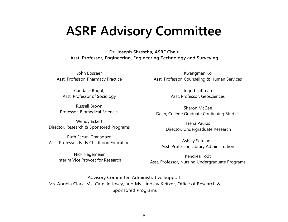# <span id="page-8-0"></span>**ASRF Advisory Committee**

**Dr. Joseph Shrestha, ASRF Chair Asst. Professor, Engineering, Engineering Technology and Surveying**

John Bossaer Asst. Professor, Pharmacy Practice

Candace Bright, Asst. Professor of Sociology

Russell Brown Professor, Biomedical Sciences

Wendy Eckert Director, Research & Sponsored Programs

Ruth Facun-Granadozo Asst. Professor, Early Childhood Education

> Nick Hagemeier Interim Vice Provost for Research

Kwangman Ko Asst. Professor, Counseling & Human Services

> Ingrid Luffman Asst. Professor, Geosciences

Sharon McGee Dean, College Graduate Continuing Studies

> Trena Paulus Director, Undergraduate Research

Ashley Sergiadis Asst. Professor, Library Administration

Kendrea Todt Asst. Professor, Nursing Undergraduate Programs

Advisory Committee Administrative Support: Ms. Angela Clark, Ms. Camille Josey, and Ms. Lindsay Keitzer, Office of Research & Sponsored Programs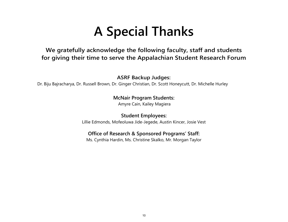# **A Special Thanks**

# <span id="page-9-0"></span>**We gratefully acknowledge the following faculty, staff and students for giving their time to serve the Appalachian Student Research Forum**

**ASRF Backup Judges:**

Dr. Biju Bajracharya, Dr. Russell Brown, Dr. Ginger Christian, Dr. Scott Honeycutt, Dr. Michelle Hurley

# **McNair Program Students:**

Amyre Cain, Kailey Magiera

**Student Employees:**  Lillie Edmonds, Mofeoluwa Jide-Jegede, Austin Kincer, Josie Vest

# **Office of Research & Sponsored Programs' Staff:**

Ms. Cynthia Hardin, Ms. Christine Skalko, Mr. Morgan Taylor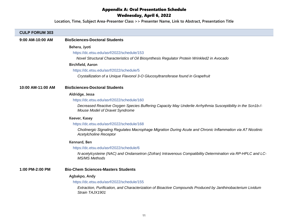# Appendix A: Oral Presentation Schedule Wednesday, April 6, 2022

**Location, Time, Subject Area-Presenter Class >> Presenter Name, Link to Abstract, Presentation Title**

# <span id="page-10-0"></span>**CULP FORUM 303**

| 9:00 AM-10:00 AM  | <b>BioSciences-Doctoral Students</b>                                                                                                          |
|-------------------|-----------------------------------------------------------------------------------------------------------------------------------------------|
|                   | Behera, Jyoti                                                                                                                                 |
|                   | https://dc.etsu.edu/asrf/2022/schedule/153                                                                                                    |
|                   | Novel Structural Characteristics of Oil Biosynthesis Regulator Protein Wrinkled2 in Avocado                                                   |
|                   | <b>Birchfield, Aaron</b>                                                                                                                      |
|                   | https://dc.etsu.edu/asrf/2022/schedule/5                                                                                                      |
|                   | Crystallization of a Unique Flavonol 3-O Glucosyltransferase found in Grapefruit                                                              |
| 10:00 AM-11:00 AM | <b>BioSciences-Doctoral Students</b>                                                                                                          |
|                   | Aldridge, Jessa                                                                                                                               |
|                   | https://dc.etsu.edu/asrf/2022/schedule/160                                                                                                    |
|                   | Decreased Reactive Oxygen Species Buffering Capacity May Underlie Arrhythmia Susceptibility in the Scn1b-/-<br>Mouse Model of Dravet Syndrome |
|                   | Keever, Kasey                                                                                                                                 |
|                   | https://dc.etsu.edu/asrf/2022/schedule/168                                                                                                    |
|                   | Cholinergic Signaling Regulates Macrophage Migration During Acute and Chronic Inflammation via A7 Nicotinic<br><b>Acetylcholine Receptor</b>  |
|                   | Kennard, Ben                                                                                                                                  |
|                   | https://dc.etsu.edu/asrf/2022/schedule/6                                                                                                      |
|                   | N-acetylcysteine (NAC) and Ondansetron (Zofran) Intravenous Compatibility Determination via RP-HPLC and LC-<br><b>MS/MS Methods</b>           |
| 1:00 PM-2:00 PM   | <b>Bio-Chem Sciences-Masters Students</b>                                                                                                     |
|                   | Agbakpo, Andy                                                                                                                                 |
|                   | https://dc.etsu.edu/asrf/2022/schedule/155                                                                                                    |
|                   | Extraction, Purification, and Characterization of Bioactive Compounds Produced by Janthinobacterium Lividum<br>Strain TAJX1901                |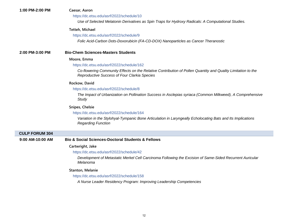#### https://dc.etsu.edu/asrf/2022/schedule/10

*Use of Selected Melatonin Derivatives as Spin Traps for Hydroxy Radicals: A Computational Studies.*

#### **Tetteh, Michael**

#### https://dc.etsu.edu/asrf/2022/schedule/9

*Folic Acid-Carbon Dots-Doxorubicin (FA-CD-DOX) Nanoparticles as Cancer Theranostic*

#### **2:00 PM-3:00 PM Bio-Chem Sciences-Masters Students**

#### **Moore, Emma**

#### https://dc.etsu.edu/asrf/2022/schedule/162

*Co-flowering Community Effects on the Relative Contribution of Pollen Quantity and Quality Limitation to the Reproductive Success of Four Clarkia Species*

#### **Rockow, David**

#### https://dc.etsu.edu/asrf/2022/schedule/8

*The Impact of Urbanization on Pollination Success in Asclepias syriaca (Common Milkweed), A Comprehensive Study*

#### **Snipes, Chelsie**

#### https://dc.etsu.edu/asrf/2022/schedule/164

*Variation in the Stylohyal-Tympanic Bone Articulation in Laryngeally Echolocating Bats and Its Implications Regarding Function*

#### **CULP FORUM 304**

#### **9:00 AM-10:00 AM Bio & Social Sciences-Doctoral Students & Fellows**

#### **Cartwright, Jake**

#### https://dc.etsu.edu/asrf/2022/schedule/42

*Development of Metastatic Merkel Cell Carcinoma Following the Excision of Same-Sided Recurrent Auricular Melanoma*

#### **Stanton, Melanie**

https://dc.etsu.edu/asrf/2022/schedule/158

*A Nurse Leader Residency Program: Improving Leadership Competencies*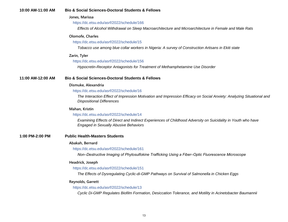| 10:00 AM-11:00 AM | <b>Bio &amp; Social Sciences-Doctoral Students &amp; Fellows</b>                                                                                             |
|-------------------|--------------------------------------------------------------------------------------------------------------------------------------------------------------|
|                   | Jones, Marissa                                                                                                                                               |
|                   | https://dc.etsu.edu/asrf/2022/schedule/166                                                                                                                   |
|                   | Effects of Alcohol Withdrawal on Sleep Macroarchitecture and Microarchitecture in Female and Male Rats                                                       |
|                   | Olomofe, Charles                                                                                                                                             |
|                   | https://dc.etsu.edu/asrf/2022/schedule/15                                                                                                                    |
|                   | Tobacco use among blue collar workers in Nigeria: A survey of Construction Artisans in Ekiti state                                                           |
|                   | Zarin, Tyler                                                                                                                                                 |
|                   | https://dc.etsu.edu/asrf/2022/schedule/156                                                                                                                   |
|                   | Hypocretin-Receptor Antagonists for Treatment of Methamphetamine Use Disorder                                                                                |
| 11:00 AM-12:00 AM | <b>Bio &amp; Social Sciences-Doctoral Students &amp; Fellows</b>                                                                                             |
|                   | Dismuke, Alexandria                                                                                                                                          |
|                   | https://dc.etsu.edu/asrf/2022/schedule/16                                                                                                                    |
|                   | The Interaction Effect of Impression Motivation and Impression Efficacy on Social Anxiety: Analyzing Situational and<br><b>Dispositional Differences</b>     |
|                   | Mahan, Kristin                                                                                                                                               |
|                   | https://dc.etsu.edu/asrf/2022/schedule/14                                                                                                                    |
|                   | Examining Effects of Direct and Indirect Experiences of Childhood Adversity on Suicidality in Youth who have<br><b>Engaged in Sexually Abusive Behaviors</b> |
| 1:00 PM-2:00 PM   | <b>Public Health-Masters Students</b>                                                                                                                        |
|                   | Abakah, Bernard                                                                                                                                              |
|                   | https://dc.etsu.edu/asrf/2022/schedule/161                                                                                                                   |
|                   | Non-Destructive Imaging of Phytosulfokine Trafficking Using a Fiber-Optic Fluorescence Microscope                                                            |
|                   | Headrick, Joseph                                                                                                                                             |
|                   | https://dc.etsu.edu/asrf/2022/schedule/151                                                                                                                   |
|                   | The Effects of Dysregulating Cyclic-di-GMP Pathways on Survival of Salmonella in Chicken Eggs                                                                |
|                   | Reynolds, Garrett                                                                                                                                            |
|                   | https://dc.etsu.edu/asrf/2022/schedule/13                                                                                                                    |
|                   | Cyclic Di-GMP Regulates Biofilm Formation, Desiccation Tolerance, and Motility in Acinetobacter Baumannii                                                    |
|                   |                                                                                                                                                              |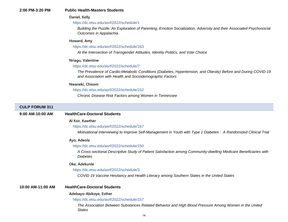#### **2:00 PM-3:20 PM Public Health-Masters Students**

#### **Daniel, Kelly**

#### https://dc.etsu.edu/asrf/2022/schedule/1

*Building the Puzzle: An Exploration of Parenting, Emotion Socialization, Adversity and their Associated Psychosocial Outcomes in Appalachia.*

#### **Howard, Amy**

#### https://dc.etsu.edu/asrf/2022/schedule/163

*At the Intersection of Transgender Attitudes, Identity Politics, and Vote Choice*

#### **Nriagu, Valentine**

#### https://dc.etsu.edu/asrf/2022/schedule/7

*The Prevalence of Cardio-Metabolic Conditions (Diabetes, Hypertension, and Obesity) Before and During COVID-19 and Association with Health and Sociodemographic Factors*

#### **Nwaneki, Chisom**

#### https://dc.etsu.edu/asrf/2022/schedule/152

*Chronic Disease Risk Factors among Women in Tennessee*

#### **CULP FORUM 311**

#### **9:00 AM-10:00 AM HealthCare-Doctoral Students**

#### **Al Ksir, Kawther**

#### https://dc.etsu.edu/asrf/2022/schedule/167

*Motivational Interviewing to Improve Self-Management in Youth with Type 1 Diabetes : A Randomized Clinical Trial*

#### **Ayo, Adeola**

#### https://dc.etsu.edu/asrf/2022/schedule/150

*A Cross-sectional Descriptive Study of Patient Satisfaction among Community-dwelling Medicare Beneficiaries with Diabetes*

#### **Oke, Adekunle**

#### https://dc.etsu.edu/asrf/2022/schedule/3

*COVID 19 Vaccine Hesitancy and Health Literacy among Southern States in the United States*

#### **10:00 AM-11:00 AM HealthCare-Doctoral Students**

#### **Adebayo-Abikoye, Esther**

#### https://dc.etsu.edu/asrf/2022/schedule/157

*The Association Between Substances Related Behavior and High Blood Pressure Among Women in the United States*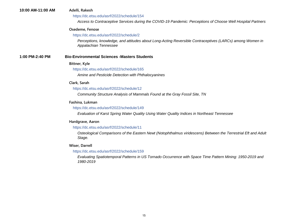#### **10:00 AM-11:00 AM Adelli, Rakesh**

#### https://dc.etsu.edu/asrf/2022/schedule/154

*Access to Contraceptive Services during the COVID-19 Pandemic: Perceptions of Choose Well Hospital Partners*

#### **Osedeme, Fenose**

#### https://dc.etsu.edu/asrf/2022/schedule/2

*Perceptions, knowledge, and attitudes about Long-Acting Reversible Contraceptives (LARCs) among Women in Appalachian Tennessee*

#### **1:00 PM-2:40 PM Bio-Environmental Sciences -Masters Students**

#### **Bittner, Kyle**

#### https://dc.etsu.edu/asrf/2022/schedule/165

*Amine and Pesticide Detection with Phthalocyanines*

#### **Clark, Sarah**

#### https://dc.etsu.edu/asrf/2022/schedule/12

*Community Structure Analysis of Mammals Found at the Gray Fossil Site, TN*

#### **Fashina, Lukman**

#### https://dc.etsu.edu/asrf/2022/schedule/149

*Evaluation of Karst Spring Water Quality Using Water Quality Indices in Northeast Tennessee*

#### **Hardgrave, Aaron**

#### https://dc.etsu.edu/asrf/2022/schedule/11

*Osteological Comparisons of the Eastern Newt (Notophthalmus viridescens) Between the Terrestrial Eft and Adult Stage.*

#### **Wiser, Darrell**

#### https://dc.etsu.edu/asrf/2022/schedule/159

*Evaluating Spatiotemporal Patterns in US Tornado Occurrence with Space Time Pattern Mining: 1950-2019 and 1980-2019*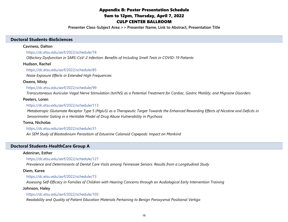# Appendix B: Poster Presentation Schedule 9am to 12pm, Thursday, April 7, 2022 CULP CENTER BALLROOM

**Presenter Class-Subject Area >> Presenter Name, Link to Abstract, Presentation Title**

#### <span id="page-15-0"></span>**Doctoral Students-BioSciences**

#### **Caviness, Dalton**

https://dc.etsu.edu/asrf/2022/schedule/74

*Olfactory Dysfunction in SARS-CoV-2 Infection: Benefits of Including Smell Tests in COVID-19 Patients*

**Hudson, Rachel**

https://dc.etsu.edu/asrf/2022/schedule/85

*Noise Exposure Effects in Extended High Frequencies*

#### **Owens, Misty**

https://dc.etsu.edu/asrf/2022/schedule/99

*Transcutaneous Auricular Vagal Nerve Stimulation (taVNS) as a Potential Treatment for Cardiac, Gastric Motility, and Migraine Disorders*

#### **Peeters, Loren**

#### https://dc.etsu.edu/asrf/2022/schedule/113

*Metabotropic Glutamate Receptor Type 5 (Mglu5) as a Therapeutic Target Towards the Enhanced Rewarding Effects of Nicotine and Deficits in Sensorimotor Gating in a Heritable Model of Drug Abuse Vulnerability in Psychosis*

#### **Toma, Nicholas**

https://dc.etsu.edu/asrf/2022/schedule/31

*An SEM Study of Blastodinium Parasitism of Estuarine Calanoid Copepods: Impact on Mankind*

# **Doctoral Students-HealthCare Group A**

#### **Adeniran, Esther**

https://dc.etsu.edu/asrf/2022/schedule/127

*Prevalence and Determinants of Dental Care Visits among Tennessee Seniors: Results from a Longitudinal Study*

#### **Diem, Karee**

https://dc.etsu.edu/asrf/2022/schedule/73

*Assessing Self-Efficacy in Families of Children with Hearing Concerns through an Audiological Early Intervention Training*

#### **Johnson, Haley**

#### https://dc.etsu.edu/asrf/2022/schedule/103

*Readability and Quality of Patient Education Materials Pertaining to Benign Paroxysmal Positional Vertigo*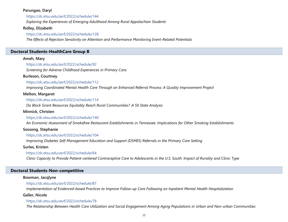# **Parungao, Daryl**

https://dc.etsu.edu/asrf/2022/schedule/144

*Exploring the Experiences of Emerging Adulthood Among Rural Appalachian Students*

# **Ridley, Elizabeth**

# https://dc.etsu.edu/asrf/2022/schedule/128

*The Effects of Rejection Sensitivity on Attention and Performance Monitoring Event-Related Potentials*

# **Doctoral Students-HealthCare Group B**

# **Ameh, Mary**

https://dc.etsu.edu/asrf/2022/schedule/92

*Screening for Adverse Childhood Experiences in Primary Care.*

# **Burleson, Courtney**

https://dc.etsu.edu/asrf/2022/schedule/112

*Improving Coordinated Mental Health Care Through an Enhanced Referral Process: A Quality Improvement Project*

# **Melton, Margaret**

https://dc.etsu.edu/asrf/2022/schedule/114

*Do Block Grant Resources Equitably Reach Rural Communities?  A 50 State Analysis*

# **Minnick, Christen**

https://dc.etsu.edu/asrf/2022/schedule/140

*An Economic Assessment of Smokefree Restaurant Establishments in Tennessee: Implications for Other Smoking Establishments*

# **Sossong, Stephanie**

https://dc.etsu.edu/asrf/2022/schedule/104

*Improving Diabetes Self-Management Education and Support (DSMES) Referrals in the Primary Care Setting*

**Surles, Kristen**

https://dc.etsu.edu/asrf/2022/schedule/64

*Clinic Capacity to Provide Patient-centered Contraceptive Care to Adolescents in the U.S. South: Impact of Rurality and Clinic Type*

# **Doctoral Students-Non-competitive**

# **Bowman, Jacqlyne**

# https://dc.etsu.edu/asrf/2022/schedule/87

*Implementation of Evidenced-based Practices to Improve Follow-up Care Following an Inpatient Mental Health Hospitalization*

# **Galler, Nicole**

# https://dc.etsu.edu/asrf/2022/schedule/78

*The Relationship Between Health Care Utilization and Social Engagement Among Aging Populations in Urban and Non-urban Communities*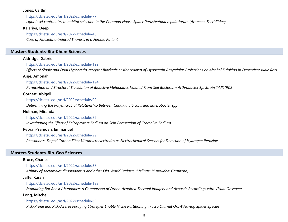#### **Jones, Caitlin**

#### https://dc.etsu.edu/asrf/2022/schedule/77

*Light level contributes to habitat selection in the Common House Spider Parasteatoda tepidariorum (Araneae: Theridiidae)*

#### **Kalariya, Deep**

https://dc.etsu.edu/asrf/2022/schedule/45

*Case of Fluoxetine-induced Enuresis in a Female Patient*

#### **Masters Students-Bio-Chem Sciences**

# **Aldridge, Gabriel**

#### https://dc.etsu.edu/asrf/2022/schedule/122

*Effects of Single and Dual Hypocretin-receptor Blockade or Knockdown of Hypocretin Amygdalar Projections on Alcohol Drinking in Dependent Male Rats*

#### **Arije, Amonah**

#### https://dc.etsu.edu/asrf/2022/schedule/124

*Purification and Structural Elucidation of Bioactive Metabolites Isolated From Soil Bacterium Arthrobacter Sp. Strain TAJX1902*

#### **Cornett, Abigail**

#### https://dc.etsu.edu/asrf/2022/schedule/90

*Determining the Polymicrobial Relationship Between Candida albicans and Enterobacter spp*

#### **Holman, Miranda**

#### https://dc.etsu.edu/asrf/2022/schedule/82

*Investigating the Effect of Salcaprozate Sodium on Skin Permeation of Cromolyn Sodium*

#### **Peprah-Yamoah, Emmanuel**

#### https://dc.etsu.edu/asrf/2022/schedule/29

*Phosphorus-Doped Carbon Fiber Ultramicroelectrodes as Electrochemical Sensors for Detection of Hydrogen Peroxide*

#### **Masters Students-Bio-Geo Sciences**

#### **Bruce, Charles**

https://dc.etsu.edu/asrf/2022/schedule/38

*Affinity of Arctomeles dimolodontus and other Old-World Badgers (Melinae: Mustelidae: Carnivora)*

#### **Jaffe, Karah**

#### https://dc.etsu.edu/asrf/2022/schedule/133

*Evaluating Bat Roost Abundance: A Comparison of Drone-Acquired Thermal Imagery and Acoustic Recordings with Visual Observers*

#### **Long, Mitchell**

#### https://dc.etsu.edu/asrf/2022/schedule/69

*Risk-Prone and Risk-Averse Foraging Strategies Enable Niche Partitioning in Two Diurnal Orb-Weaving Spider Species*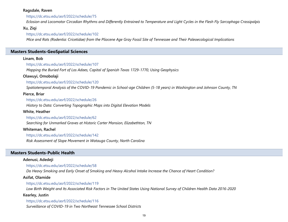#### **Ragsdale, Raven**

#### https://dc.etsu.edu/asrf/2022/schedule/75

*Eclosion and Locomotor Circadian Rhythms and Differently Entrained to Temperature and Light Cycles in the Flesh Fly Sarcophaga Crassipalpis*

### **Xu, Ziqi**

#### https://dc.etsu.edu/asrf/2022/schedule/102

*Mice and Rats (Rodentia: Cricetidae) from the Pliocene Age Gray Fossil Site of Tennessee and Their Paleoecological Implications*

# **Masters Students-GeoSpatial Sciences**

#### **Linam, Bob**

#### https://dc.etsu.edu/asrf/2022/schedule/107

*Mapping the Buried Fort of Los Adaes, Capital of Spanish Texas 1729-1770, Using Geophysics*

#### **Olawuyi, Omobolaji**

#### https://dc.etsu.edu/asrf/2022/schedule/120

*Spatiotemporal Analysis of the COVID-19 Pandemic in School-age Children (5-18 years) in Washington and Johnson County, TN*

#### **Pierce, Briar**

https://dc.etsu.edu/asrf/2022/schedule/26 *History to Data: Converting Topographic Maps into Digital Elevation Models*

#### **White, Heather**

#### https://dc.etsu.edu/asrf/2022/schedule/62

*Searching for Unmarked Graves at Historic Carter Mansion, Elizabethton, TN*

#### **Whiteman, Rachel**

https://dc.etsu.edu/asrf/2022/schedule/142 *Risk Assessment of Slope Movement in Watauga County, North Carolina*

#### **Masters Students-Public Health**

#### **Adenusi, Adedeji**

https://dc.etsu.edu/asrf/2022/schedule/58

*Do Heavy Smoking and Early Onset of Smoking and Heavy Alcohol Intake Increase the Chance of Heart Condition?*

#### **Asifat, Olamide**

#### https://dc.etsu.edu/asrf/2022/schedule/119

*Low Birth Weight and Its Associated Risk Factors in The United States Using National Survey of Children Health Data 2016-2020*

#### **Kearley, Justin**

https://dc.etsu.edu/asrf/2022/schedule/116

*Surveillance of COVID-19 in Two Northeast Tennessee School Districts*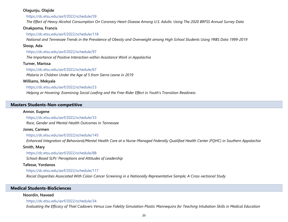### **Olagunju, Olajide**

https://dc.etsu.edu/asrf/2022/schedule/59

*The Effect of Heavy Alcohol Consumption On Coronary Heart Disease Among U.S. Adults: Using The 2020 BRFSS Annual Survey Data*

# **Onakpoma, Francis**

#### https://dc.etsu.edu/asrf/2022/schedule/118

*National and Tennessee Trends in the Prevalence of Obesity and Overweight among High School Students Using YRBS Data 1999-2019*

# **Sloop, Ada**

https://dc.etsu.edu/asrf/2022/schedule/97

*The Importance of Positive Interaction within Assistance Work in Appalachia*

# **Turner, Marissa**

# https://dc.etsu.edu/asrf/2022/schedule/67

*Malaria in Children Under the Age of 5 from Sierra Leone in 2019*

# **Williams, Mekyala**

# https://dc.etsu.edu/asrf/2022/schedule/23

*Helping or Hovering: Examining Social Loafing and the Free-Rider Effect in Youth's Transition Readiness*

# **Masters Students-Non-competitive**

# **Annor, Eugene**

### https://dc.etsu.edu/asrf/2022/schedule/33

*Race, Gender and Mental Health Outcomes in Tennessee*

#### **Jones, Carmen**

#### https://dc.etsu.edu/asrf/2022/schedule/145

*Enhanced Integration of Behavioral/Mental Health Care at a Nurse-Managed Federally Qualified Health Center (FQHC) in Southern Appalachia*

#### **Smith, Mary**

#### https://dc.etsu.edu/asrf/2022/schedule/88

*School-Based SLPs' Perceptions and Attitudes of Leadership*

# **Tafesse, Yordanos**

# https://dc.etsu.edu/asrf/2022/schedule/117

*Racial Disparities Associated With Colon Cancer Screening in a Nationally Representative Sample; A Cross-sectional Study*

# **Medical Students-BioSciences**

# **Noordin, Naveed**

https://dc.etsu.edu/asrf/2022/schedule/34

*Evaluating the Efficacy of Thiel Cadavers Versus Low Fidelity Simulation Plastic Mannequins for Teaching Intubation Skills in Medical Education*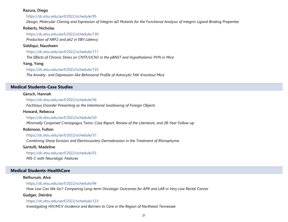#### **Razura, Diego**

https://dc.etsu.edu/asrf/2022/schedule/95

*Design, Molecular Cloning and Expression of Integrin αD Mutants for the Functional Analysis of Integrin Ligand Binding Properties*

#### **Roberts, Nicholas**

https://dc.etsu.edu/asrf/2022/schedule/130 *Production of NRF2 and p62 in EBV Latency*

#### **Siddiqui, Nausheen**

https://dc.etsu.edu/asrf/2022/schedule/111

*The Effects of Chronic Stress on CNTF/UCN3 in the pBNST and Hypothalamic PVN in Mice*

### **Yang, Yong**

#### https://dc.etsu.edu/asrf/2022/schedule/135

*The Anxiety- and Depression-like Behavioral Profile of Astrocytic FAK Knockout Mice*

# **Medical Students-Case Studies**

#### **Gersch, Hannah**

https://dc.etsu.edu/asrf/2022/schedule/56

*Factitious Disorder Presenting as the Intentional Swallowing of Foreign Objects*

#### **Howard, Rebecca**

#### https://dc.etsu.edu/asrf/2022/schedule/50

*Minimally Conjoined Craniopagus Twins: Case Report, Review of the Literature, and 28-Year Follow-up*

### **Robinson, Fulton**

https://dc.etsu.edu/asrf/2022/schedule/57

*Combining Sharp Excision and Electrocautery Dermabrasion in the Treatment of Rhinophyma*

#### **Santulli, Madeline**

https://dc.etsu.edu/asrf/2022/schedule/55

*MIS-C with Neurologic Features*

### **Medical Students-HealthCare**

#### **Bethurum, Alva**

https://dc.etsu.edu/asrf/2022/schedule/94

*How Low Can We Go?: Comparing Long-term Oncologic Outcomes for APR and LAR in Very Low Rectal Cancer*

#### **Gudger, Deirdre**

https://dc.etsu.edu/asrf/2022/schedule/123

*Investigating HIV/HCV Incidence and Barriers to Care in the Region of Northeast Tennessee*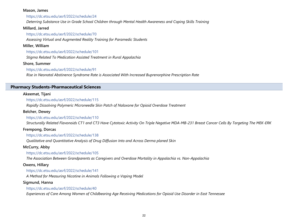#### **Mason, James**

https://dc.etsu.edu/asrf/2022/schedule/24

*Deterring Substance Use in Grade School Children through Mental Health Awareness and Coping Skills Training*

### **Millard, Jarred**

https://dc.etsu.edu/asrf/2022/schedule/70

*Assessing Virtual and Augmented Reality Training for Paramedic Students*

# **Miller, William**

https://dc.etsu.edu/asrf/2022/schedule/101

*Stigma Related To Medication Assisted Treatment in Rural Appalachia*

# **Shore, Summer**

# https://dc.etsu.edu/asrf/2022/schedule/91

*Rise in Neonatal Abstinence Syndrome Rate is Associated With Increased Buprenorphine Prescription Rate*

# **Pharmacy Students-Pharmaceutical Sciences**

# **Akeemat, Tijani**

https://dc.etsu.edu/asrf/2022/schedule/115

*Rapidly Dissolving Polymeric Microneedle Skin Patch of Naloxone for Opioid Overdose Treatment*

# **Belcher, Dewey**

# https://dc.etsu.edu/asrf/2022/schedule/110

*Structurally Related Flavonoids CT1 and CT3 Have Cytotoxic Activity On Triple Negative MDA-MB-231 Breast Cancer Cells By Targeting The MEK-ERK* 

# **Frempong, Dorcas**

https://dc.etsu.edu/asrf/2022/schedule/138

*Qualitative and Quantitative Analysis of Drug Diffusion Into and Across Derma planed Skin*

# **McCurry, Abby**

https://dc.etsu.edu/asrf/2022/schedule/105

*The Association Between Grandparents as Caregivers and Overdose Mortality in Appalachia vs. Non-Appalachia*

# **Owens, Hillary**

https://dc.etsu.edu/asrf/2022/schedule/141

*A Method for Measuring Nicotine in Animals Following a Vaping Model*

# **Sigmund, Hanna**

https://dc.etsu.edu/asrf/2022/schedule/40

*Experiences of Care Among Women of Childbearing Age Receiving Medications for Opioid Use Disorder in East Tennessee*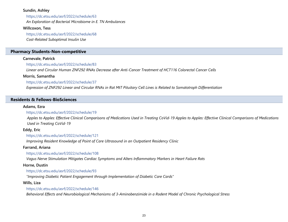#### **Sundin, Ashley**

https://dc.etsu.edu/asrf/2022/schedule/63 *An Exploration of Bacterial Microbiome in E. TN Ambulances*

### **Willcoxon, Tess**

https://dc.etsu.edu/asrf/2022/schedule/68 *Cost-Related Suboptimal Insulin Use*

### **Pharmacy Students-Non-competitive**

### **Carnevale, Patrick**

https://dc.etsu.edu/asrf/2022/schedule/83

*Linear and Circular Human ZNF292 RNAs Decrease after Anti-Cancer Treatment of HCT116 Colorectal Cancer Cells*

# **Morris, Samantha**

https://dc.etsu.edu/asrf/2022/schedule/37

*Expression of ZNF292 Linear and Circular RNAs in Rat MtT Pituitary Cell Lines is Related to Somatotroph Differentiation*

# **Residents & Fellows-BioSciences**

### **Adams, Ezra**

# https://dc.etsu.edu/asrf/2022/schedule/19

*Apples to Apples: Effective Clinical Comparisons of Medications Used in Treating CoVid-19 Apples to Apples: Effective Clinical Comparisons of Medications Used in Treating CoVid-19*

# **Eddy, Eric**

https://dc.etsu.edu/asrf/2022/schedule/121

*Improving Resident Knowledge of Point of Care Ultrasound in an Outpatient Residency Clinic*

# **Farrand, Ariana**

https://dc.etsu.edu/asrf/2022/schedule/108

*Vagus Nerve Stimulation Mitigates Cardiac Symptoms and Alters Inflammatory Markers in Heart Failure Rats*

# **Horne, Dustin**

# https://dc.etsu.edu/asrf/2022/schedule/93

*"Improving Diabetic Patient Engagement through Implementation of Diabetic Care Cards"*

# **Wills, Liza**

# https://dc.etsu.edu/asrf/2022/schedule/146

*Behavioral Effects and Neurobiological Mechanisms of 3-Aminobenzimide in a Rodent Model of Chronic Psychological Stress*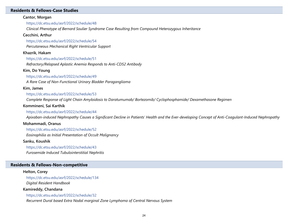#### **Residents & Fellows-Case Studies**

#### **Cantor, Morgan**

https://dc.etsu.edu/asrf/2022/schedule/48

*Clinical Phenotype of Bernard Soulier Syndrome Case Resulting from Compound Heterozygous Inheritance*

#### **Cecchini, Arthur**

https://dc.etsu.edu/asrf/2022/schedule/54

*Percutaneous Mechanical Right Ventricular Support*

#### **Khazrik, Hakam**

https://dc.etsu.edu/asrf/2022/schedule/51

*Refractory/Relapsed Aplastic Anemia Responds to Anti-CD52 Antibody*

#### **Kim, Do Young**

https://dc.etsu.edu/asrf/2022/schedule/49

*A Rare Case of Non-Functional Urinary Bladder Paraganglioma*

#### **Kim, James**

https://dc.etsu.edu/asrf/2022/schedule/53

*Complete Response of Light Chain Amyloidosis to Daratumumab/ Bortezomib/ Cyclophosphamide/ Dexamethasone Regimen*

#### **Kommineni, Sai Karthik**

#### https://dc.etsu.edu/asrf/2022/schedule/44

*Apixaban-induced Nephropathy Causes a Significant Decline in Patients' Health and the Ever-developing Concept of Anti-Coagulant-Induced Nephropathy*

#### **Mohammadi, Oranus**

https://dc.etsu.edu/asrf/2022/schedule/52

*Eosinophilia as Initial Presentation of Occult Malignancy*

#### **Sanku, Koushik**

https://dc.etsu.edu/asrf/2022/schedule/43

*Furosemide Induced Tubulointerstitial Nephritis*

### **Residents & Fellows-Non-competitive**

#### **Helton, Corey**

https://dc.etsu.edu/asrf/2022/schedule/134 *Digital Resident Handbook*

#### **Kamireddy, Chandana**

https://dc.etsu.edu/asrf/2022/schedule/32

*Recurrent Dural based Extra Nodal marginal Zone Lymphoma of Central Nervous System*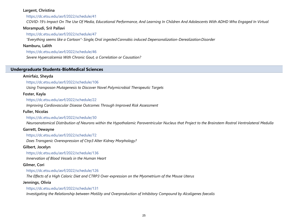### **Largent, Christina**

https://dc.etsu.edu/asrf/2022/schedule/41

*COVID-19's Impact On The Use Of Media, Educational Performance, And Learning In Children And Adolescents With ADHD Who Engaged In Virtual* 

# **Morampudi, SriI Pallavi**

https://dc.etsu.edu/asrf/2022/schedule/47

*"Everything seems like a Cartoon"- Single, Oral ingested Cannabis induced Depersonalization-Derealization Disorder*

**Namburu, Lalith**

https://dc.etsu.edu/asrf/2022/schedule/46

*Severe Hypercalcemia With Chronic Gout, a Correlation or Causation?*

# **Undergraduate Students-BioMedical Sciences**

# **Amirfaiz, Sheyda**

https://dc.etsu.edu/asrf/2022/schedule/106

*Using Transposon Mutagenesis to Discover Novel Polymicrobial Therapeutic Targets*

# **Foster, Kayla**

https://dc.etsu.edu/asrf/2022/schedule/22

*Improving Cardiovascular Disease Outcomes Through Improved Risk Assessment*

# **Fuller, Nicolas**

# https://dc.etsu.edu/asrf/2022/schedule/30

*Neuroanatomical Distribution of Neurons within the Hypothalamic Paraventricular Nucleus that Project to the Brainstem Rostral Ventrolateral Medulla*

# **Garrett, Dewayne**

https://dc.etsu.edu/asrf/2022/schedule/72

*Does Transgenic Overexpression of Ctrp3 Alter Kidney Morphology?*

# **Gilbert, Jocelyn**

https://dc.etsu.edu/asrf/2022/schedule/136

*Innervation of Blood Vessels in the Human Heart*

# **Gilmer, Cori**

https://dc.etsu.edu/asrf/2022/schedule/126

*The Effects of a High Caloric Diet and CTRP3 Over-expression on the Myometrium of the Mouse Uterus*

# **Jennings, Olivia**

# https://dc.etsu.edu/asrf/2022/schedule/131

*Investigating the Relationship between Motility and Overproduction of Inhibitory Compound by Alcaligenes faecalis*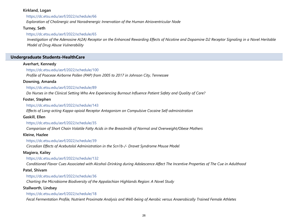# **Kirkland, Logan**

https://dc.etsu.edu/asrf/2022/schedule/66

*Exploration of Cholinergic and Noradrenergic Innervation of the Human Atrioventricular Node*

# **Turney, Seth**

# https://dc.etsu.edu/asrf/2022/schedule/65

*Investigation of the Adenosine A(2A) Receptor on the Enhanced Rewarding Effects of Nicotine and Dopamine D2 Receptor Signaling in a Novel Heritable Model of Drug Abuse Vulnerability*

# **Undergraduate Students-HealthCare**

# **Averhart, Kennedy**

# https://dc.etsu.edu/asrf/2022/schedule/100

*Profile of Poaceae Airborne Pollen (PAP) from 2005 to 2017 in Johnson City, Tennessee*

# **Downing, Amanda**

https://dc.etsu.edu/asrf/2022/schedule/89

*Do Nurses in the Clinical Setting Who Are Experiencing Burnout Influence Patient Safety and Quality of Care?*

# **Foster, Stephen**

https://dc.etsu.edu/asrf/2022/schedule/143

*Effects of Long-acting Kappa-opioid Receptor Antagonism on Compulsive Cocaine Self-administration*

# **Gaskill, Ellen**

https://dc.etsu.edu/asrf/2022/schedule/35

*Comparison of Short Chain Volatile Fatty Acids in the Breastmilk of Normal and Overweight/Obese Mothers*

# **Kleine, Hazlee**

# https://dc.etsu.edu/asrf/2022/schedule/39

*Circadian Effects of Acebutolol Administration in the Scn1b-/- Dravet Syndrome Mouse Model*

# **Magiera, Kailey**

https://dc.etsu.edu/asrf/2022/schedule/132

*Conditioned Flavor Cues Associated with Alcohol-Drinking during Adolescence Affect The Incentive Properties of The Cue in Adulthood*

# **Patel, Shivam**

# https://dc.etsu.edu/asrf/2022/schedule/36

*Charting the Microbiome Biodiversity of the Appalachian Highlands Region: A Novel Study*

# **Stallworth, Lindsey**

# https://dc.etsu.edu/asrf/2022/schedule/18

*Fecal Fermentation Profile, Nutrient Proximate Analysis and Well-being of Aerobic versus Anaerobically Trained Female Athletes*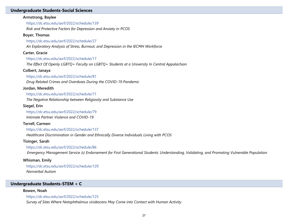#### **Undergraduate Students-Social Sciences**

#### **Armstrong, Baylee**

https://dc.etsu.edu/asrf/2022/schedule/139

*Risk and Protective Factors for Depression and Anxiety in PCOS*

#### **Boyer, Thomas**

https://dc.etsu.edu/asrf/2022/schedule/27

*An Exploratory Analysis of Stress, Burnout, and Depression in the IECMH Workforce*

#### **Carter, Gracie**

https://dc.etsu.edu/asrf/2022/schedule/17

*The Effect Of Openly LGBTQ+ Faculty on LGBTQ+ Students at a University In Central Appalachian*

#### **Colbert, Janaya**

#### https://dc.etsu.edu/asrf/2022/schedule/81

*Drug Related Crimes and Overdoses During the COVID-19 Pandemic*

#### **Jordan, Meredith**

https://dc.etsu.edu/asrf/2022/schedule/71

*The Negative Relationship between Religiosity and Substance Use*

#### **Siegel, Erin**

https://dc.etsu.edu/asrf/2022/schedule/79 *Intimate Partner Violence and COVID-19*

#### **Terrell, Carmen**

https://dc.etsu.edu/asrf/2022/schedule/137

*Healthcare Discrimination in Gender and Ethnically Diverse Individuals Living with PCOS*

#### **Tisinger, Sarah**

#### https://dc.etsu.edu/asrf/2022/schedule/86

*Emergency Management Service (s) Endorsement for First Generational Students: Understanding, Validating, and Promoting Vulnerable Population* 

#### *Inclusivity on University Campuses* **Whisman, Emily**

https://dc.etsu.edu/asrf/2022/schedule/129 *Nonverbal Autism*

# **Undergraduate Students-STEM + C**

#### **Bowen, Noah**

https://dc.etsu.edu/asrf/2022/schedule/125

*Survey of Sites Where Notophthalmus viridescens May Come into Contact with Human Activity*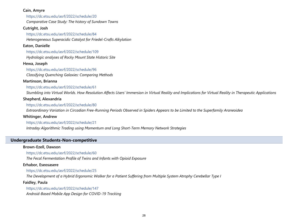### **Cain, Amyre**

https://dc.etsu.edu/asrf/2022/schedule/20

*Comparative Case Study: The history of Sundown Towns*

# **Cutright, Josh**

https://dc.etsu.edu/asrf/2022/schedule/84 *Heterogeneous Superacidic Catalyst for Friedel-Crafts Alkylation*

# **Eaton, Danielle**

https://dc.etsu.edu/asrf/2022/schedule/109

*Hydrologic analyses of Rocky Mount State Historic Site*

# **Hewa, Joseph**

# https://dc.etsu.edu/asrf/2022/schedule/96

*Classifying Quenching Galaxies: Comparing Methods*

# **Martinson, Brianna**

### https://dc.etsu.edu/asrf/2022/schedule/61

*Stumbling into Virtual Worlds. How Resolution Affects Users' Immersion in Virtual Reality and Implications for Virtual Reality in Therapeutic Applications*

# **Shepherd, Alexandria**

### https://dc.etsu.edu/asrf/2022/schedule/80

*Extraordinary Variation in Circadian Free-Running Periods Observed in Spiders Appears to be Limited to the Superfamily Araneoidea*

# **Whitinger, Andrew**

# https://dc.etsu.edu/asrf/2022/schedule/21

*Intraday Algorithmic Trading using Momentum and Long Short-Term Memory Network Strategies*

# **Undergraduate Students-Non-competitive**

# **Brown-Ezell, Dawson**

#### https://dc.etsu.edu/asrf/2022/schedule/60

*The Fecal Fermentation Profile of Twins and Infants with Opioid Exposure*

# **Erhabor, Eseosasere**

https://dc.etsu.edu/asrf/2022/schedule/25

*The Development of a Hybrid Ergonomic Walker for a Patient Suffering from Multiple System Atrophy Cerebellar Type I*

# **Faidley, Paula**

https://dc.etsu.edu/asrf/2022/schedule/147 *Android-Based Mobile App Design for COVID-19 Tracking*